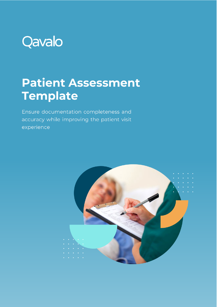

## **Patient Assessment Template**

Ensure documentation completeness and accuracy while improving the patient visit experience

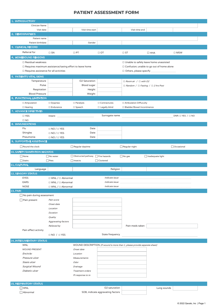## **PATIENT ASSESSMENT FORM**

| 1. INTRODUCTORY                                                   |                                    |                                     |                                   |                                                                            |                                             |                             |  |
|-------------------------------------------------------------------|------------------------------------|-------------------------------------|-----------------------------------|----------------------------------------------------------------------------|---------------------------------------------|-----------------------------|--|
| Clinician Name                                                    |                                    |                                     |                                   |                                                                            |                                             |                             |  |
| Visit date                                                        |                                    | Visit time start                    |                                   | Visit time end                                                             |                                             |                             |  |
| 2. DEMOGRAPHICS                                                   |                                    |                                     |                                   |                                                                            |                                             |                             |  |
| Patient name                                                      |                                    |                                     |                                   |                                                                            |                                             |                             |  |
| Patient birthdate                                                 |                                    | Gender                              |                                   |                                                                            |                                             |                             |  |
| 3. CLINICAL RECORD                                                |                                    |                                     |                                   |                                                                            |                                             |                             |  |
| Referral for                                                      |                                    |                                     |                                   |                                                                            |                                             |                             |  |
|                                                                   | $\square$ SN                       | $\Box$ PT                           | $\Box$ OT                         | $\square$ ST                                                               | $\Box$ HHA                                  | $\square$ MSW               |  |
| 4. HOMEBOUND REASONS                                              |                                    |                                     |                                   |                                                                            |                                             |                             |  |
| $\Box$ Residual weakness                                          |                                    |                                     |                                   | □ Unable to safely leave home unassisted                                   |                                             |                             |  |
| $\Box$<br>Requires maximum assistance/taxing effort to leave home |                                    |                                     |                                   |                                                                            | □ Confusion; unable to go out of home alone |                             |  |
| $\Box$ Requires assistance for all activities                     |                                    |                                     |                                   | $\Box$ Others, please specify                                              |                                             |                             |  |
| 5. PATIENT'S VITAL SIGNS                                          |                                    |                                     |                                   |                                                                            |                                             |                             |  |
| Temperature                                                       |                                    | O2 Saturation                       |                                   | $\Box$ Room air / $\Box$ with O2                                           |                                             |                             |  |
| Pulse                                                             |                                    | Blood sugar                         |                                   | $\Box$ Random / $\Box$ Fasting / $\Box$ 2 hrs Post                         |                                             |                             |  |
| Respiration                                                       |                                    | Height                              |                                   |                                                                            |                                             |                             |  |
| <b>Blood Pressure</b>                                             |                                    | Weight                              |                                   |                                                                            |                                             |                             |  |
| <b>6. FUNCTIONAL LIMITATION</b>                                   |                                    |                                     |                                   |                                                                            |                                             |                             |  |
|                                                                   |                                    |                                     |                                   |                                                                            |                                             |                             |  |
| $\Box$ Amputation                                                 | $\Box$ Dyspnea                     | $\Box$ Paralysis                    | $\Box$ Contractures               | □ Ambulation Diffuculty                                                    |                                             |                             |  |
| $\square$ Hearing                                                 | $\Box$ Endurance                   | □ Speech                            | □ Legally blind                   | □ Bladder/Bowel Incontinence                                               |                                             |                             |  |
| 7. ADVANCE DIRECTIVES                                             |                                    |                                     |                                   |                                                                            |                                             |                             |  |
| □ YES                                                             | $Internet_$                        |                                     | Surrogate name                    |                                                                            |                                             | DNR: $\Box$ YES / $\Box$ NO |  |
| $\square$ NO                                                      |                                    |                                     |                                   |                                                                            |                                             |                             |  |
| 8. IMMUNIZATIONS                                                  |                                    |                                     |                                   |                                                                            |                                             |                             |  |
| Flu                                                               | $\Box$ NO / $\Box$ YES             | Date                                |                                   |                                                                            |                                             |                             |  |
| Shingles                                                          | $\Box$ NO / $\Box$ YES             | Date                                |                                   |                                                                            |                                             |                             |  |
| Pneumonia                                                         | $\Box$ NO / $\Box$ YES             | Date                                |                                   |                                                                            |                                             |                             |  |
| 9. SUPPORTIVE ASSISTANCE                                          |                                    |                                     |                                   |                                                                            |                                             |                             |  |
| Round the clock                                                   |                                    | $\Box$ Regular daytime              |                                   | $\Box$ Regular night                                                       |                                             | Occasional                  |  |
| <b>10. SAFETY/SANITATION HAZARDS</b>                              |                                    |                                     |                                   |                                                                            |                                             |                             |  |
|                                                                   |                                    | □ Obstructed pathway □ Fire hazards |                                   |                                                                            |                                             |                             |  |
| $\Box$ None                                                       | $\Box$ No water                    |                                     |                                   | $\Box$ No gas                                                              | □ Inadequate light                          |                             |  |
| $\Box$ Stairs                                                     | $\Box$ Pets                        | $\Box$ Insects                      | Cluttered                         |                                                                            |                                             |                             |  |
| 11. CULTURAL                                                      |                                    |                                     |                                   |                                                                            |                                             |                             |  |
| Language                                                          |                                    |                                     | Religion                          |                                                                            |                                             |                             |  |
| <b>12. SENSORY STATUS</b>                                         |                                    |                                     |                                   |                                                                            |                                             |                             |  |
| <b>EYES</b>                                                       | $\Box$ WNL / $\Box$ Abnormal       |                                     | <i>Indicate issue</i>             |                                                                            |                                             |                             |  |
| EARS                                                              | $\square$ WNL / $\square$ Abnormal |                                     | Indicate issue                    |                                                                            |                                             |                             |  |
| <b>NOSE</b>                                                       | $\Box$ WNL / $\Box$ Abnormal       |                                     | Indicate issue                    |                                                                            |                                             |                             |  |
| <b>13. PAIN</b>                                                   |                                    |                                     |                                   |                                                                            |                                             |                             |  |
| $\Box$ No pain during assessment                                  |                                    |                                     |                                   |                                                                            |                                             |                             |  |
| $\Box$ Pain present                                               | Pain score                         |                                     |                                   |                                                                            |                                             |                             |  |
|                                                                   | Onset date                         |                                     |                                   |                                                                            |                                             |                             |  |
|                                                                   | Location                           |                                     |                                   |                                                                            |                                             |                             |  |
|                                                                   | Duration                           |                                     |                                   |                                                                            |                                             |                             |  |
|                                                                   | Quality                            |                                     |                                   |                                                                            |                                             |                             |  |
|                                                                   | Aggravating factors                |                                     |                                   |                                                                            |                                             |                             |  |
|                                                                   | Relieved by                        |                                     |                                   | Pain meds taken                                                            |                                             |                             |  |
| Pain affect activity                                              |                                    |                                     |                                   |                                                                            |                                             |                             |  |
|                                                                   | $\Box$ NO / $\Box$ YES             |                                     | State frequency                   |                                                                            |                                             |                             |  |
|                                                                   |                                    |                                     |                                   |                                                                            |                                             |                             |  |
| <b>14. INTEGUMENTARY STATUS</b>                                   |                                    |                                     |                                   |                                                                            |                                             |                             |  |
| <b>WNL</b>                                                        |                                    |                                     |                                   | WOUND DESCRIPTION (If wound is more than 1, please provide separate sheet) |                                             |                             |  |
| WOUND PRESENT                                                     |                                    | Onset date                          |                                   |                                                                            |                                             |                             |  |
| Encircle:                                                         |                                    | Location                            |                                   |                                                                            |                                             |                             |  |
| Pressure ulcer                                                    |                                    | Measurements                        |                                   |                                                                            |                                             |                             |  |
| Stasis ulcer                                                      |                                    | Odor                                |                                   |                                                                            |                                             |                             |  |
| Surgical Wound                                                    |                                    | Drainage                            |                                   |                                                                            |                                             |                             |  |
| Diabetic ulcer                                                    |                                    | Treatment orders                    |                                   |                                                                            |                                             |                             |  |
|                                                                   |                                    | Pt response to tx                   |                                   |                                                                            |                                             |                             |  |
|                                                                   |                                    |                                     |                                   |                                                                            |                                             |                             |  |
| <b>15. RESPIRATORY STATUS</b>                                     |                                    |                                     |                                   |                                                                            |                                             |                             |  |
| $\square$ WNL                                                     |                                    |                                     | O2 saturation                     |                                                                            | Lung sounds                                 |                             |  |
| $\Box$ Abnormal                                                   |                                    |                                     | SOB, indicate aggravating factors |                                                                            |                                             |                             |  |
|                                                                   |                                    |                                     |                                   |                                                                            |                                             |                             |  |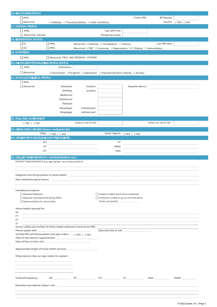| $\Box$ WNL<br>Abnormal                                                                                                      |                                     |                                                                 |                                                                                                                     | If with DM:      | <b>BS Results</b>         |                       |
|-----------------------------------------------------------------------------------------------------------------------------|-------------------------------------|-----------------------------------------------------------------|---------------------------------------------------------------------------------------------------------------------|------------------|---------------------------|-----------------------|
|                                                                                                                             |                                     |                                                                 |                                                                                                                     |                  |                           |                       |
|                                                                                                                             |                                     | $\Box$ Diabetes $\Box$ Thyroid problems $\Box$ other conditions |                                                                                                                     |                  |                           | Insulin? □ YES / □ NO |
| <b>17. CARDIAC STATUS</b>                                                                                                   |                                     |                                                                 |                                                                                                                     |                  |                           |                       |
| $\Box$ WNL                                                                                                                  |                                     |                                                                 | Cap refill time                                                                                                     |                  |                           |                       |
| Abnormal, indicate                                                                                                          |                                     |                                                                 | Peripheral pulses                                                                                                   |                  |                           |                       |
| <b>18. ELIMINATION STATUS</b>                                                                                               |                                     |                                                                 |                                                                                                                     |                  |                           |                       |
| $\Box$ GI                                                                                                                   | $\Box$ WNL                          |                                                                 | Abnormal: □ Diarrhea □ Constipation □ Ostomy                                                                        |                  | Last BM date              |                       |
| $\Box$ GU                                                                                                                   | $\Box$ WNL                          |                                                                 | Abnormal: $\Box$ FBC $\Box$ Urostomy $\Box$ Neprostomy $\Box$ P. Dialysis $\Box$ Hemodialysis                       |                  |                           |                       |
| <b>19. NUTRITION</b>                                                                                                        |                                     |                                                                 |                                                                                                                     |                  |                           |                       |
| $\Box$ WNL                                                                                                                  | Abnormal: PEG / NG FEEDING / OTHERS |                                                                 |                                                                                                                     |                  |                           |                       |
|                                                                                                                             |                                     |                                                                 |                                                                                                                     |                  |                           |                       |
| 20. NEURO/EMOTIONAL/BEHAVIORAL STATUS                                                                                       |                                     |                                                                 |                                                                                                                     |                  |                           |                       |
| $\Box$ WNL                                                                                                                  | Orientation                         |                                                                 |                                                                                                                     |                  |                           |                       |
| $\Box$ Abnormal:                                                                                                            |                                     |                                                                 | $\square$ Disoriented $\square$ Forgetful $\square$ Depression $\square$ Impaired Decision-making $\square$ Anxiety |                  |                           |                       |
| <b>21. MUSCULOSKELETAL STATUS</b>                                                                                           |                                     |                                                                 |                                                                                                                     |                  |                           |                       |
| $\Box$ WNL                                                                                                                  |                                     |                                                                 |                                                                                                                     |                  |                           |                       |
| Abnormal                                                                                                                    | Weakness                            | location                                                        |                                                                                                                     | Assistive device |                           |                       |
|                                                                                                                             | <b>Stiffness</b>                    | location                                                        |                                                                                                                     |                  |                           |                       |
|                                                                                                                             | Bedbound                            |                                                                 |                                                                                                                     |                  |                           |                       |
|                                                                                                                             | Chairbound                          |                                                                 |                                                                                                                     |                  |                           |                       |
|                                                                                                                             |                                     |                                                                 |                                                                                                                     |                  |                           |                       |
|                                                                                                                             | Paralysis                           |                                                                 |                                                                                                                     |                  |                           |                       |
|                                                                                                                             | Hemiplegia                          | <i>indicate part</i>                                            |                                                                                                                     |                  |                           |                       |
|                                                                                                                             | Paraplegia                          | indicate part                                                   |                                                                                                                     |                  |                           |                       |
| <b>22. FALL RISK ASSESSMENT</b>                                                                                             |                                     |                                                                 |                                                                                                                     |                  |                           |                       |
| $\Box$ YES / $\Box$ NO                                                                                                      |                                     | Patient at risk for fall                                        |                                                                                                                     |                  | Patient not risk for fall |                       |
|                                                                                                                             |                                     |                                                                 |                                                                                                                     |                  |                           |                       |
| 23. MEDICATION REVIEW (Attach medication list)                                                                              |                                     |                                                                 |                                                                                                                     |                  |                           |                       |
|                                                                                                                             | ORAL <sub>U</sub> YES / U NO        |                                                                 | INJECTABLES □ YES / □ NO                                                                                            |                  |                           |                       |
|                                                                                                                             |                                     |                                                                 |                                                                                                                     |                  |                           |                       |
| 24. ORDERS FOR DISCIPLINE AND TREATMENTS                                                                                    |                                     |                                                                 |                                                                                                                     |                  |                           |                       |
| SN                                                                                                                          |                                     |                                                                 | <b>ST</b>                                                                                                           |                  |                           |                       |
| PT                                                                                                                          |                                     |                                                                 | <b>MSW</b>                                                                                                          |                  |                           |                       |
| OT<br>25. SKILLED INTERVENTIONS / NARRATIVE (Free text)<br>PATIENT DEMOGRAPHICS (e.g. age, gender, race, living situation): |                                     |                                                                 | <b>HHA</b>                                                                                                          |                  |                           |                       |
| Diagnosis that brings patient to home health:                                                                               |                                     |                                                                 |                                                                                                                     |                  |                           |                       |
|                                                                                                                             |                                     |                                                                 |                                                                                                                     |                  |                           |                       |
| Homebound reasons:                                                                                                          |                                     |                                                                 |                                                                                                                     |                  |                           |                       |
| Residual Weakness                                                                                                           |                                     |                                                                 | □ Unable to safely leave home unassisted                                                                            |                  |                           |                       |
| Requires max assistance/taxing effort                                                                                       |                                     |                                                                 | Confusion; Unable to go out of home alone                                                                           |                  |                           |                       |
| $\Box$ Need assistance for all activities                                                                                   |                                     |                                                                 | Others, pls specify: <u>containing</u>                                                                              |                  |                           |                       |
|                                                                                                                             |                                     |                                                                 |                                                                                                                     |                  |                           |                       |
| Home health required for:                                                                                                   |                                     |                                                                 |                                                                                                                     |                  |                           |                       |
| SN                                                                                                                          |                                     |                                                                 |                                                                                                                     |                  |                           |                       |
| PT                                                                                                                          |                                     |                                                                 |                                                                                                                     |                  |                           |                       |
| OT<br>ST                                                                                                                    |                                     |                                                                 |                                                                                                                     |                  |                           |                       |
| Doctor called and notified of Home Health admission (must be an MD)                                                         |                                     |                                                                 |                                                                                                                     |                  |                           |                       |
| Person spoke with:                                                                                                          |                                     |                                                                 |                                                                                                                     |                  |                           |                       |
| Verified MD will follow patient and sign orders: $\Box$ YES / $\Box$ NO                                                     |                                     |                                                                 |                                                                                                                     |                  |                           |                       |
|                                                                                                                             |                                     |                                                                 |                                                                                                                     |                  |                           |                       |
| Date of face-to-face visit: National Contract of Security Contract of Security Contract of Security Contract of             |                                     |                                                                 |                                                                                                                     |                  |                           |                       |
|                                                                                                                             |                                     |                                                                 |                                                                                                                     |                  |                           |                       |
| Approximate length of home health services: National Management of the service of the service of the service o              |                                     |                                                                 |                                                                                                                     |                  |                           |                       |
|                                                                                                                             |                                     |                                                                 |                                                                                                                     |                  |                           |                       |
| Other doctors that can sign orders for patient:                                                                             |                                     |                                                                 |                                                                                                                     |                  |                           |                       |
|                                                                                                                             |                                     |                                                                 |                                                                                                                     |                  |                           |                       |
|                                                                                                                             |                                     |                                                                 |                                                                                                                     |                  |                           |                       |
|                                                                                                                             |                                     |                                                                 |                                                                                                                     |                  |                           |                       |
|                                                                                                                             |                                     |                                                                 |                                                                                                                     |                  |                           |                       |
| Ordered frequency:                                                                                                          |                                     |                                                                 |                                                                                                                     |                  | SN: PT: OT: ST: HHA:      | MSW:                  |
|                                                                                                                             |                                     |                                                                 |                                                                                                                     |                  |                           |                       |